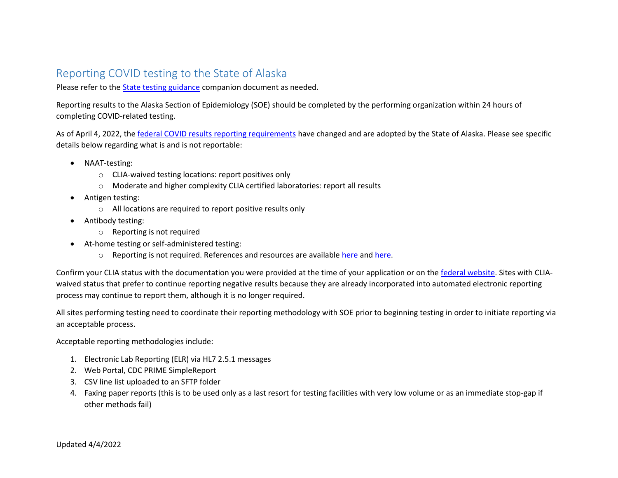# Reporting COVID testing to the State of Alaska

Please refer to the [State testing guidance](http://dhss.alaska.gov/dph/Epi/id/SiteAssets/Pages/HumanCoV/AKCOVIDTestingGuidance.pdf) companion document as needed.

Reporting results to the Alaska Section of Epidemiology (SOE) should be completed by the performing organization within 24 hours of completing COVID-related testing.

As of April 4, 2022, the [federal COVID results reporting requirements](https://www.cdc.gov/coronavirus/2019-ncov/downloads/lab/HHS-Laboratory-Reporting-Guidance-508.pdf) have changed and are adopted by the State of Alaska. Please see specific details below regarding what is and is not reportable:

- NAAT-testing:
	- o CLIA-waived testing locations: report positives only
	- o Moderate and higher complexity CLIA certified laboratories: report all results
- Antigen testing:
	- o All locations are required to report positive results only
- Antibody testing:
	- o Reporting is not required
- At-home testing or self-administered testing:
	- o Reporting is not required. References and resources are available [here](https://dhss.alaska.gov/dph/Epi/id/siteassets/pages/humanCOV/AKCOVIDAtHomeTestingGuidance.pdf) an[d here.](https://dhss.alaska.gov/dph/Epi/id/siteassets/pages/humanCOV/flyer_athometesting.pdf)

Confirm your CLIA status with the documentation you were provided at the time of your application or on th[e federal website.](https://www.cdc.gov/clia/LabSearch.html) Sites with CLIAwaived status that prefer to continue reporting negative results because they are already incorporated into automated electronic reporting process may continue to report them, although it is no longer required.

All sites performing testing need to coordinate their reporting methodology with SOE prior to beginning testing in order to initiate reporting via an acceptable process.

Acceptable reporting methodologies include:

- 1. Electronic Lab Reporting (ELR) via HL7 2.5.1 messages
- 2. Web Portal, CDC PRIME SimpleReport
- 3. CSV line list uploaded to an SFTP folder
- 4. Faxing paper reports (this is to be used only as a last resort for testing facilities with very low volume or as an immediate stop-gap if other methods fail)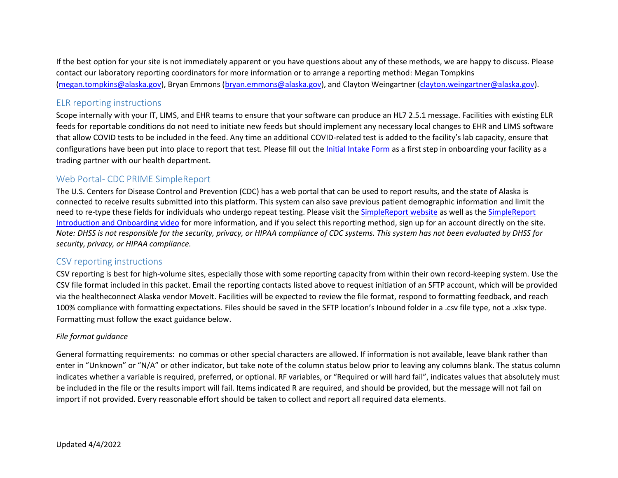If the best option for your site is not immediately apparent or you have questions about any of these methods, we are happy to discuss. Please contact our laboratory reporting coordinators for more information or to arrange a reporting method: Megan Tompkins [\(megan.tompkins@alaska.gov\)](mailto:megan.tompkins@alaska.gov), Bryan Emmons [\(bryan.emmons@alaska.gov\)](mailto:bryan.emmons@alaska.gov), and Clayton Weingartner [\(clayton.weingartner@alaska.gov\)](mailto:clayton.weingartner@alaska.gov).

# ELR reporting instructions

Scope internally with your IT, LIMS, and EHR teams to ensure that your software can produce an HL7 2.5.1 message. Facilities with existing ELR feeds for reportable conditions do not need to initiate new feeds but should implement any necessary local changes to EHR and LIMS software that allow COVID tests to be included in the feed. Any time an additional COVID-related test is added to the facility's lab capacity, ensure that configurations have been put into place to report that test. Please fill out the [Initial Intake Form](https://urldefense.com/v3/__https:/share.hsforms.com/18mBh0JrpRWmTJUGhIlRuKA3y5zk__;!!J2_8gdp6gZQ!85wIwkc9LbjJmeYdBIbfuE1xY0dkOOFbLRMSB-lsp4FMZwoYB_791Q3RcHer7y7Kqtt4oNs$) as a first step in onboarding your facility as a trading partner with our health department.

## Web Portal- CDC PRIME SimpleReport

The U.S. Centers for Disease Control and Prevention (CDC) has a web portal that can be used to report results, and the state of Alaska is connected to receive results submitted into this platform. This system can also save previous patient demographic information and limit the need to re-type these fields for individuals who undergo repeat testing. Please visit th[e SimpleReport website](https://simplereport.gov/) as well as the [SimpleReport](https://urldefense.com/v3/__https:/www.youtube.com/watch?v=3YsfDprX2aw__;!!J2_8gdp6gZQ!6wW1wvw1OopvpzVQSbrLoWvlsfBx_X9doqNpsIR_9si5VotyVh1uzsd6hNs10QFI7x0DH5Y$)  [Introduction and Onboarding video](https://urldefense.com/v3/__https:/www.youtube.com/watch?v=3YsfDprX2aw__;!!J2_8gdp6gZQ!6wW1wvw1OopvpzVQSbrLoWvlsfBx_X9doqNpsIR_9si5VotyVh1uzsd6hNs10QFI7x0DH5Y$) for more information, and if you select this reporting method, sign up for an account directly on the site. *Note: DHSS is not responsible for the security, privacy, or HIPAA compliance of CDC systems. This system has not been evaluated by DHSS for security, privacy, or HIPAA compliance.*

## CSV reporting instructions

CSV reporting is best for high-volume sites, especially those with some reporting capacity from within their own record-keeping system. Use the CSV file format included in this packet. Email the reporting contacts listed above to request initiation of an SFTP account, which will be provided via the healtheconnect Alaska vendor MoveIt. Facilities will be expected to review the file format, respond to formatting feedback, and reach 100% compliance with formatting expectations. Files should be saved in the SFTP location's Inbound folder in a .csv file type, not a .xlsx type. Formatting must follow the exact guidance below.

#### *File format guidance*

General formatting requirements: no commas or other special characters are allowed. If information is not available, leave blank rather than enter in "Unknown" or "N/A" or other indicator, but take note of the column status below prior to leaving any columns blank. The status column indicates whether a variable is required, preferred, or optional. RF variables, or "Required or will hard fail", indicates values that absolutely must be included in the file or the results import will fail. Items indicated R are required, and should be provided, but the message will not fail on import if not provided. Every reasonable effort should be taken to collect and report all required data elements.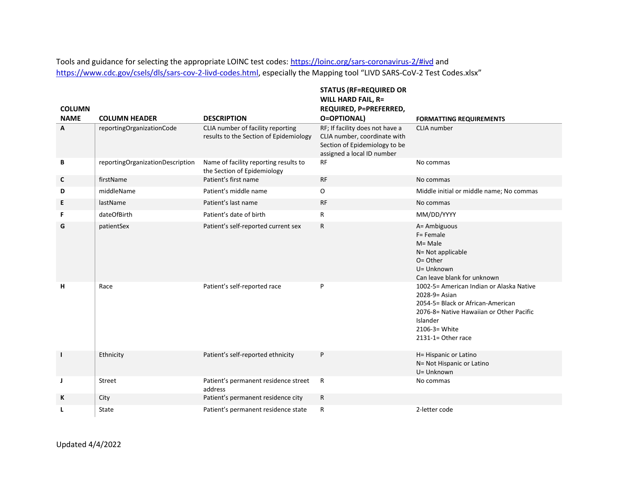Tools and guidance for selecting the appropriate LOINC test codes:<https://loinc.org/sars-coronavirus-2/#ivd> and <https://www.cdc.gov/csels/dls/sars-cov-2-livd-codes.html>, especially the Mapping tool "LIVD SARS-CoV-2 Test Codes.xlsx"

|                              |                                  |                                                                             | <b>STATUS (RF=REQUIRED OR</b><br><b>WILL HARD FAIL, R=</b>                                                                     |                                                                                                                                                                                               |
|------------------------------|----------------------------------|-----------------------------------------------------------------------------|--------------------------------------------------------------------------------------------------------------------------------|-----------------------------------------------------------------------------------------------------------------------------------------------------------------------------------------------|
| <b>COLUMN</b><br><b>NAME</b> | <b>COLUMN HEADER</b>             | <b>DESCRIPTION</b>                                                          | REQUIRED, P=PREFERRED,<br><b>O=OPTIONAL)</b>                                                                                   | <b>FORMATTING REQUIREMENTS</b>                                                                                                                                                                |
| A                            | reportingOrganizationCode        | CLIA number of facility reporting<br>results to the Section of Epidemiology | RF; If facility does not have a<br>CLIA number, coordinate with<br>Section of Epidemiology to be<br>assigned a local ID number | CLIA number                                                                                                                                                                                   |
| В                            | reportingOrganizationDescription | Name of facility reporting results to<br>the Section of Epidemiology        | <b>RF</b>                                                                                                                      | No commas                                                                                                                                                                                     |
| C                            | firstName                        | Patient's first name                                                        | <b>RF</b>                                                                                                                      | No commas                                                                                                                                                                                     |
| D                            | middleName                       | Patient's middle name                                                       | O                                                                                                                              | Middle initial or middle name; No commas                                                                                                                                                      |
| E                            | lastName                         | Patient's last name                                                         | <b>RF</b>                                                                                                                      | No commas                                                                                                                                                                                     |
| F                            | dateOfBirth                      | Patient's date of birth                                                     | R                                                                                                                              | MM/DD/YYYY                                                                                                                                                                                    |
| G                            | patientSex                       | Patient's self-reported current sex                                         | R                                                                                                                              | A= Ambiguous<br>F= Female<br>$M = Male$<br>N= Not applicable<br>$O =$ Other<br>U= Unknown<br>Can leave blank for unknown                                                                      |
| н                            | Race                             | Patient's self-reported race                                                | P                                                                                                                              | 1002-5= American Indian or Alaska Native<br>2028-9= Asian<br>2054-5= Black or African-American<br>2076-8= Native Hawaiian or Other Pacific<br>Islander<br>2106-3= White<br>2131-1= Other race |
| $\blacksquare$               | Ethnicity                        | Patient's self-reported ethnicity                                           | P                                                                                                                              | H= Hispanic or Latino<br>N= Not Hispanic or Latino<br>U= Unknown                                                                                                                              |
| J                            | Street                           | Patient's permanent residence street<br>address                             | R                                                                                                                              | No commas                                                                                                                                                                                     |
| K                            | City                             | Patient's permanent residence city                                          | R                                                                                                                              |                                                                                                                                                                                               |
| L                            | State                            | Patient's permanent residence state                                         | R                                                                                                                              | 2-letter code                                                                                                                                                                                 |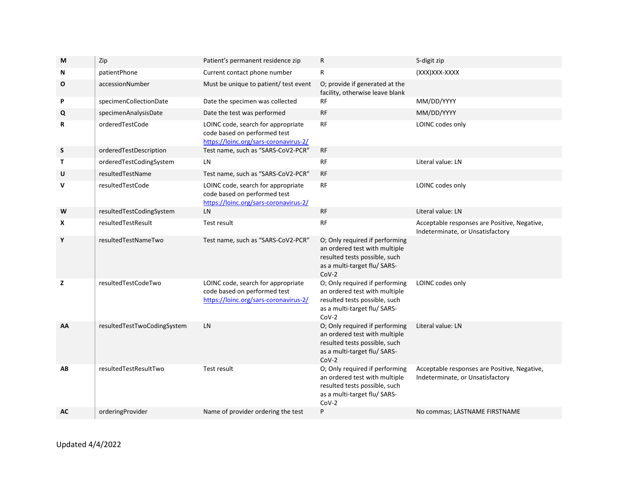| Zip                         | Patient's permanent residence zip                                                                           | R                                                                                                                                           | 5-digit zip                                                                      |
|-----------------------------|-------------------------------------------------------------------------------------------------------------|---------------------------------------------------------------------------------------------------------------------------------------------|----------------------------------------------------------------------------------|
| patientPhone                | Current contact phone number                                                                                | R                                                                                                                                           | (XXX) XXX-XXXX                                                                   |
| accessionNumber             | Must be unique to patient/ test event                                                                       | O; provide if generated at the<br>facility, otherwise leave blank                                                                           |                                                                                  |
| specimenCollectionDate      | Date the specimen was collected                                                                             | RF                                                                                                                                          | MM/DD/YYYY                                                                       |
| specimenAnalysisDate        | Date the test was performed                                                                                 | <b>RF</b>                                                                                                                                   | MM/DD/YYYY                                                                       |
| orderedTestCode             | LOINC code, search for appropriate<br>code based on performed test<br>https://loinc.org/sars-coronavirus-2/ | RF                                                                                                                                          | LOINC codes only                                                                 |
| orderedTestDescription      |                                                                                                             | <b>RF</b>                                                                                                                                   |                                                                                  |
| orderedTestCodingSystem     | LN                                                                                                          | RF                                                                                                                                          | Literal value: LN                                                                |
| resultedTestName            | Test name, such as "SARS-CoV2-PCR"                                                                          | RF                                                                                                                                          |                                                                                  |
| resultedTestCode            | LOINC code, search for appropriate<br>code based on performed test<br>https://loinc.org/sars-coronavirus-2/ | RF                                                                                                                                          | LOINC codes only                                                                 |
| resultedTestCodingSystem    | LN                                                                                                          | <b>RF</b>                                                                                                                                   | Literal value: LN                                                                |
| resultedTestResult          | Test result                                                                                                 | <b>RF</b>                                                                                                                                   | Acceptable responses are Positive, Negative,<br>Indeterminate, or Unsatisfactory |
| resultedTestNameTwo         | Test name, such as "SARS-CoV2-PCR"                                                                          | an ordered test with multiple<br>resulted tests possible, such<br>as a multi-target flu/ SARS-<br>$CoV-2$                                   |                                                                                  |
| resultedTestCodeTwo         | LOINC code, search for appropriate<br>code based on performed test<br>https://loinc.org/sars-coronavirus-2/ | O; Only required if performing<br>an ordered test with multiple<br>resulted tests possible, such<br>as a multi-target flu/ SARS-<br>$COV-2$ | LOINC codes only                                                                 |
| resultedTestTwoCodingSystem | LN                                                                                                          | O; Only required if performing<br>an ordered test with multiple<br>resulted tests possible, such<br>as a multi-target flu/ SARS-<br>$CoV-2$ | Literal value: LN                                                                |
| resultedTestResultTwo       | Test result                                                                                                 | O; Only required if performing<br>an ordered test with multiple<br>resulted tests possible, such                                            | Acceptable responses are Positive, Negative,<br>Indeterminate, or Unsatisfactory |
|                             |                                                                                                             | $COV-2$                                                                                                                                     |                                                                                  |
|                             |                                                                                                             | Test name, such as "SARS-CoV2-PCR"                                                                                                          | O; Only required if performing<br>as a multi-target flu/ SARS-                   |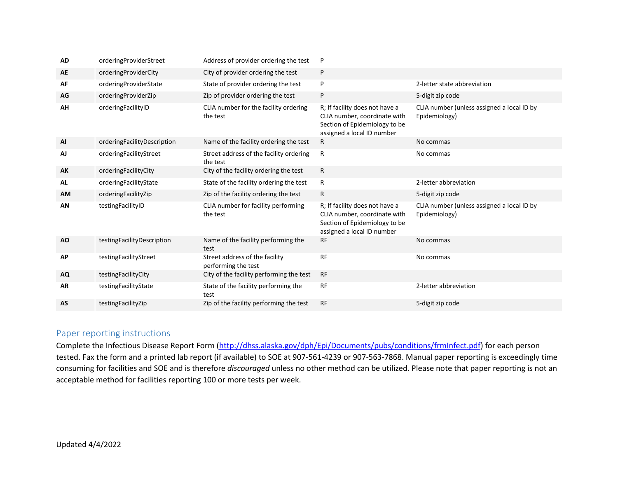| <b>AD</b> | orderingProviderStreet      | Address of provider ordering the test                 | P                                                                                                                             |                                                             |
|-----------|-----------------------------|-------------------------------------------------------|-------------------------------------------------------------------------------------------------------------------------------|-------------------------------------------------------------|
| AE        | orderingProviderCity        | City of provider ordering the test                    | P                                                                                                                             |                                                             |
| AF        | orderingProviderState       | State of provider ordering the test                   | P                                                                                                                             | 2-letter state abbreviation                                 |
| AG        | orderingProviderZip         | Zip of provider ordering the test                     | P                                                                                                                             | 5-digit zip code                                            |
| AH        | orderingFacilityID          | CLIA number for the facility ordering<br>the test     | R; If facility does not have a<br>CLIA number, coordinate with<br>Section of Epidemiology to be<br>assigned a local ID number | CLIA number (unless assigned a local ID by<br>Epidemiology) |
| <b>AI</b> | orderingFacilityDescription | Name of the facility ordering the test                | R                                                                                                                             | No commas                                                   |
| AJ        | orderingFacilityStreet      | Street address of the facility ordering<br>the test   | R                                                                                                                             | No commas                                                   |
| AK        | orderingFacilityCity        | City of the facility ordering the test                | R                                                                                                                             |                                                             |
| <b>AL</b> | orderingFacilityState       | State of the facility ordering the test               | R                                                                                                                             | 2-letter abbreviation                                       |
| <b>AM</b> | orderingFacilityZip         | Zip of the facility ordering the test                 | R                                                                                                                             | 5-digit zip code                                            |
| AN        | testingFacilityID           | CLIA number for facility performing<br>the test       | R; If facility does not have a<br>CLIA number, coordinate with<br>Section of Epidemiology to be<br>assigned a local ID number | CLIA number (unless assigned a local ID by<br>Epidemiology) |
| <b>AO</b> | testingFacilityDescription  | Name of the facility performing the<br>test           | <b>RF</b>                                                                                                                     | No commas                                                   |
| <b>AP</b> | testingFacilityStreet       | Street address of the facility<br>performing the test | <b>RF</b>                                                                                                                     | No commas                                                   |
| <b>AQ</b> | testingFacilityCity         | City of the facility performing the test              | <b>RF</b>                                                                                                                     |                                                             |
| <b>AR</b> | testingFacilityState        | State of the facility performing the<br>test          | <b>RF</b>                                                                                                                     | 2-letter abbreviation                                       |
| AS        | testingFacilityZip          | Zip of the facility performing the test               | <b>RF</b>                                                                                                                     | 5-digit zip code                                            |

# Paper reporting instructions

Complete the Infectious Disease Report Form [\(http://dhss.alaska.gov/dph/Epi/Documents/pubs/conditions/frmInfect.pdf\)](http://dhss.alaska.gov/dph/Epi/Documents/pubs/conditions/frmInfect.pdf) for each person tested. Fax the form and a printed lab report (if available) to SOE at 907-561-4239 or 907-563-7868. Manual paper reporting is exceedingly time consuming for facilities and SOE and is therefore *discouraged* unless no other method can be utilized. Please note that paper reporting is not an acceptable method for facilities reporting 100 or more tests per week.